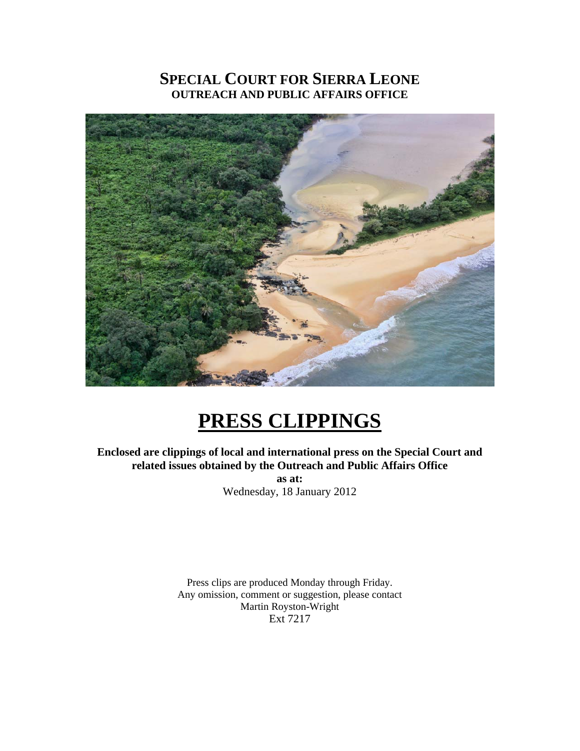### **SPECIAL COURT FOR SIERRA LEONE OUTREACH AND PUBLIC AFFAIRS OFFICE**



## **PRESS CLIPPINGS**

**Enclosed are clippings of local and international press on the Special Court and related issues obtained by the Outreach and Public Affairs Office as at:**  Wednesday, 18 January 2012

> Press clips are produced Monday through Friday. Any omission, comment or suggestion, please contact Martin Royston-Wright Ext 7217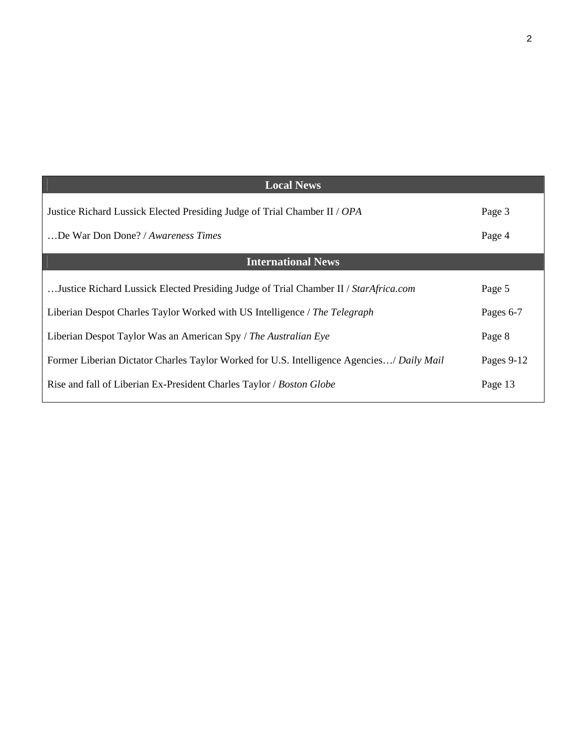| Page 3     |
|------------|
| Page 4     |
|            |
| Page 5     |
| Pages 6-7  |
| Page 8     |
| Pages 9-12 |
| Page 13    |
|            |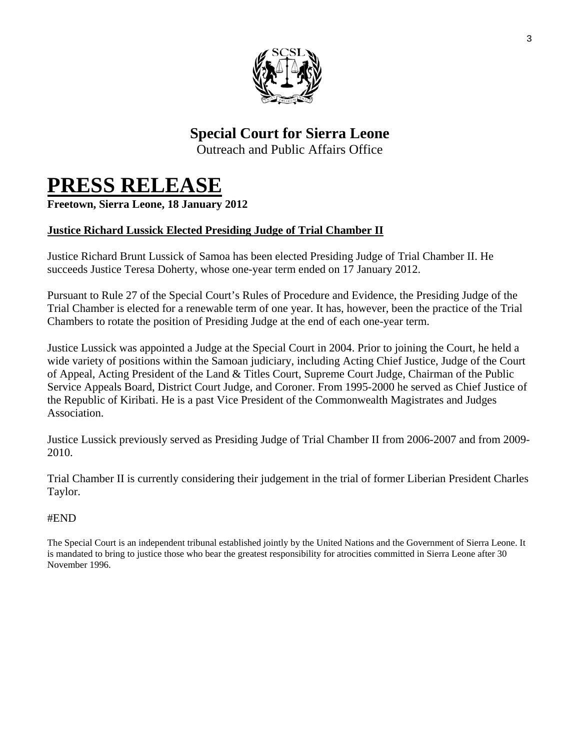

### **Special Court for Sierra Leone**

Outreach and Public Affairs Office

# **PRESS RELEASE Freetown, Sierra Leone, 18 January 2012**

#### **Justice Richard Lussick Elected Presiding Judge of Trial Chamber II**

Justice Richard Brunt Lussick of Samoa has been elected Presiding Judge of Trial Chamber II. He succeeds Justice Teresa Doherty, whose one-year term ended on 17 January 2012.

Pursuant to Rule 27 of the Special Court's Rules of Procedure and Evidence, the Presiding Judge of the Trial Chamber is elected for a renewable term of one year. It has, however, been the practice of the Trial Chambers to rotate the position of Presiding Judge at the end of each one-year term.

Justice Lussick was appointed a Judge at the Special Court in 2004. Prior to joining the Court, he held a wide variety of positions within the Samoan judiciary, including Acting Chief Justice, Judge of the Court of Appeal, Acting President of the Land & Titles Court, Supreme Court Judge, Chairman of the Public Service Appeals Board, District Court Judge, and Coroner. From 1995-2000 he served as Chief Justice of the Republic of Kiribati. He is a past Vice President of the Commonwealth Magistrates and Judges Association.

Justice Lussick previously served as Presiding Judge of Trial Chamber II from 2006-2007 and from 2009- 2010.

Trial Chamber II is currently considering their judgement in the trial of former Liberian President Charles Taylor.

#### #END

The Special Court is an independent tribunal established jointly by the United Nations and the Government of Sierra Leone. It is mandated to bring to justice those who bear the greatest responsibility for atrocities committed in Sierra Leone after 30 November 1996.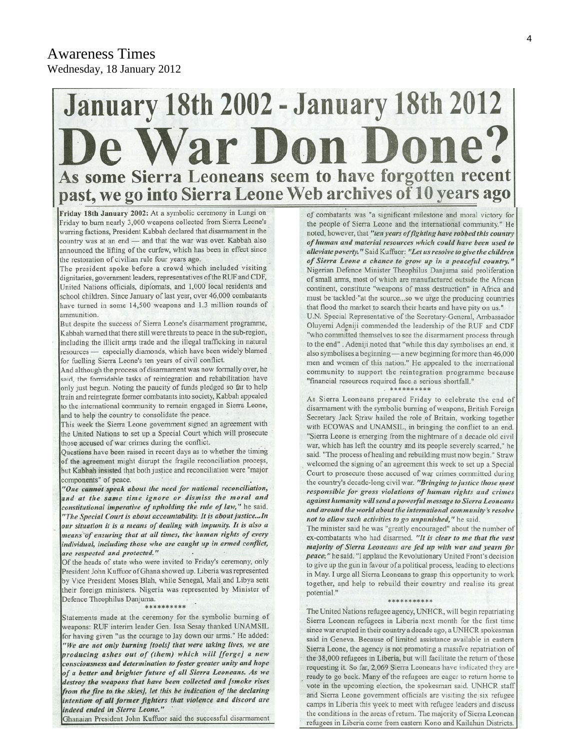# **January 18th 2002 - January 18th 2012** De War Don Done? As some Sierra Leoneans seem to have forgotten recent<br>past, we go into Sierra Leone Web archives of 10 years ago

Friday 18th January 2002: At a symbolic ceremony in Lungi on Friday to burn nearly 3,000 weapons collected from Sierra Leone's warring factions, President Kabbah declared that disarmament in the country was at an end - and that the war was over. Kabbah also announced the lifting of the curfew, which has been in effect since the restoration of civilian rule four years ago.

The president spoke before a crowd which included visiting dignitaries, government leaders, representatives of the RUF and CDF, United Nations officials, diplomats, and 1,000 local residents and school children. Since January of last year, over 46,000 combatants have turned in some 14,500 weapons and 1.3 million rounds of ammunition.

But despite the success of Sierra Leone's disarmament programme, Kabbah warned that there still were threats to peace in the sub-region, including the illicit arms trade and the illegal trafficking in natural resources - especially diamonds, which have been widely blamed for fuelling Sierra Leone's ten years of civil conflict.

And although the process of disarmament was now formally over, he said, the formidable tasks of reintegration and rehabilitation have only just begun. Noting the paucity of funds pledged so far to help train and reintegrate former combatants into society, Kabbah appealed to the international community to remain engaged in Sierra Leone, and to help the country to consolidate the peace.

This week the Sierra Leone government signed an agreement with the United Nations to set up a Special Court which will prosecute those accused of war crimes during the conflict.

Questions have been raised in recent days as to whether the timing of the agreement might disrupt the fragile reconciliation process, but Kabbah insisted that both justice and reconciliation were "major components" of peace.

"One cannot speak about the need for national reconciliation, and at the same time ignore or dismiss the moral and constitutional imperative of upholding the rule of law," he said. "The Special Court is about accountability. It is about justice...In our situation it is a means of dealing with impunity. It is also a means of ensuring that at all times, the human rights of every individual, including those who are caught up in armed conflict, are respected and protected."

Of the heads of state who were invited to Friday's ceremony, only President John Kuffuor of Ghana showed up. Liberia was represented by Vice President Moses Blah, while Senegal, Mali and Libya sent their foreign ministers. Nigeria was represented by Minister of Defence Theophilus Danjuma.

\*\*\*\*\* \*\*\*\*

Statements made at the ceremony for the symbolic burning of weapons: RUF interim leader Gen. Issa Sesay thanked UNAMSIL for having given "us the courage to lay down our arms." He added: "We are not only burning [tools] that were taking lives, we are producing ashes out of (them) which will [forge] a new consciousness and determination to foster greater unity and hope of a better and brighter future of all Sierra Leoneans. As we destroy the weapons that have been collected and [smoke rises from the fire to the skies], let this be indication of the declaring intention of all former fighters that violence and discord are indeed ended in Sierra Leone."

Ghanaian President John Kuffuor said the successful disarmament

of combatants was "a significant milestone and moral victory for the people of Sierra Leone and the international community." He noted, however, that "ten years of fighting have robbed this country of human and material resources which could have been used to alleviate poverty." Said Kuffuor: "Let us resolve to give the children of Sierra Leone a chance to grow up in a peaceful country.' Nigerian Defence Minister Theophilus Danjuma said proliferation of small arms, most of which are manufactured outside the African continent, constitute "weapons of mass destruction" in Africa and must be tackled "at the source...so we urge the producing countries that flood the market to search their hearts and have pity on us." U.N. Special Representative of the Secretary-General, Ambassador Oluyemi Adeniji commended the leadership of the RUF and CDF "who committed themselves to see the disarmament process through to the end". Adeniji noted that "while this day symbolises an end, it also symbolises a beginning - a new beginning for more than 46,000 men and women of this nation." He appealed to the international community to support the reintegration programme because "financial resources required face a serious shortfall."

As Sierra Leoneans prepared Friday to celebrate the end of disarmament with the symbolic burning of weapons, British Foreign Secretary Jack Straw hailed the role of Britain, working together with ECOWAS and UNAMSIL, in bringing the conflict to an end. "Sierra Leone is emerging from the nightmare of a decade old civil war, which has left the country and its people severely scarred," he said. "The process of healing and rebuilding must now begin." Straw welcomed the signing of an agreement this week to set up a Special Court to prosecute those accused of war crimes committed during the country's decade-long civil war. "Bringing to justice those most responsible for gross violations of human rights and crimes against humanity will send a powerful message to Sierra Leoneans and around the world about the international community's resolve not to allow such activities to go unpunished," he said.

The minister said he was "greatly encouraged" about the number of ex-combatants who had disarmed. "It is clear to me that the vast majority of Sierra Leoneans are fed up with war and yearn for peace;" he said. "I applaud the Revolutionary United Front's decision to give up the gun in favour of a political process, leading to elections in May. I urge all Sierra Leoneans to grasp this opportunity to work together, and help to rebuild their country and realise its great potential."

The United Nations refugee agency, UNHCR, will begin repatriating Sierra Leonean refugees in Liberia next month for the first time since war erupted in their country a decade ago, a UNHCR spokesman said in Geneva. Because of limited assistance available in eastern Sierra Leone, the agency is not promoting a massive repatriation of the 38,000 refugees in Liberia, but will facilitate the return of those requesting it. So far, 2,069 Sierra Leoneans have indicated they are ready to go back. Many of the refugees are eager to return home to vote in the upcoming election, the spokesman said. UNHCR staff and Sierra Leone government officials are visiting the six refugee camps in Liberia this week to meet with refugee leaders and discuss the conditions in the areas of return. The majority of Sierra Leonean refugees in Liberia come from eastern Kono and Kailahun Districts.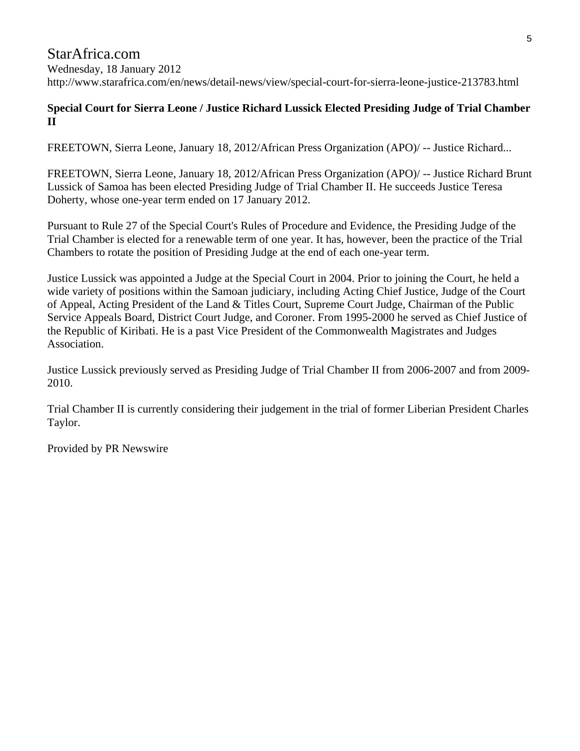#### StarAfrica.com Wednesday, 18 January 2012 http://www.starafrica.com/en/news/detail-news/view/special-court-for-sierra-leone-justice-213783.html

#### **Special Court for Sierra Leone / Justice Richard Lussick Elected Presiding Judge of Trial Chamber II**

FREETOWN, Sierra Leone, January 18, 2012/African Press Organization (APO)/ -- Justice Richard...

FREETOWN, Sierra Leone, January 18, 2012/African Press Organization (APO)/ -- Justice Richard Brunt Lussick of Samoa has been elected Presiding Judge of Trial Chamber II. He succeeds Justice Teresa Doherty, whose one-year term ended on 17 January 2012.

Pursuant to Rule 27 of the Special Court's Rules of Procedure and Evidence, the Presiding Judge of the Trial Chamber is elected for a renewable term of one year. It has, however, been the practice of the Trial Chambers to rotate the position of Presiding Judge at the end of each one-year term.

Justice Lussick was appointed a Judge at the Special Court in 2004. Prior to joining the Court, he held a wide variety of positions within the Samoan judiciary, including Acting Chief Justice, Judge of the Court of Appeal, Acting President of the Land & Titles Court, Supreme Court Judge, Chairman of the Public Service Appeals Board, District Court Judge, and Coroner. From 1995-2000 he served as Chief Justice of the Republic of Kiribati. He is a past Vice President of the Commonwealth Magistrates and Judges Association.

Justice Lussick previously served as Presiding Judge of Trial Chamber II from 2006-2007 and from 2009- 2010.

Trial Chamber II is currently considering their judgement in the trial of former Liberian President Charles Taylor.

Provided by PR Newswire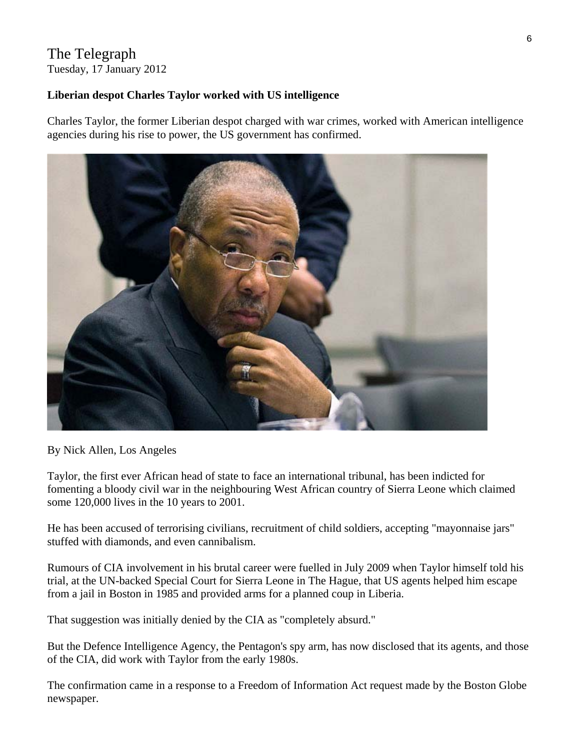#### The Telegraph Tuesday, 17 January 2012

#### **Liberian despot Charles Taylor worked with US intelligence**

Charles Taylor, the former Liberian despot charged with war crimes, worked with American intelligence agencies during his rise to power, the US government has confirmed.



By Nick Allen, Los Angeles

Taylor, the first ever African head of state to face an international tribunal, has been indicted for fomenting a bloody civil war in the neighbouring West African country of Sierra Leone which claimed some 120,000 lives in the 10 years to 2001.

He has been accused of terrorising civilians, recruitment of child soldiers, accepting "mayonnaise jars" stuffed with diamonds, and even cannibalism.

Rumours of CIA involvement in his brutal career were fuelled in July 2009 when Taylor himself told his trial, at the UN-backed Special Court for Sierra Leone in The Hague, that US agents helped him escape from a jail in Boston in 1985 and provided arms for a planned coup in Liberia.

That suggestion was initially denied by the CIA as "completely absurd."

But the Defence Intelligence Agency, the Pentagon's spy arm, has now disclosed that its agents, and those of the CIA, did work with Taylor from the early 1980s.

The confirmation came in a response to a Freedom of Information Act request made by the Boston Globe newspaper.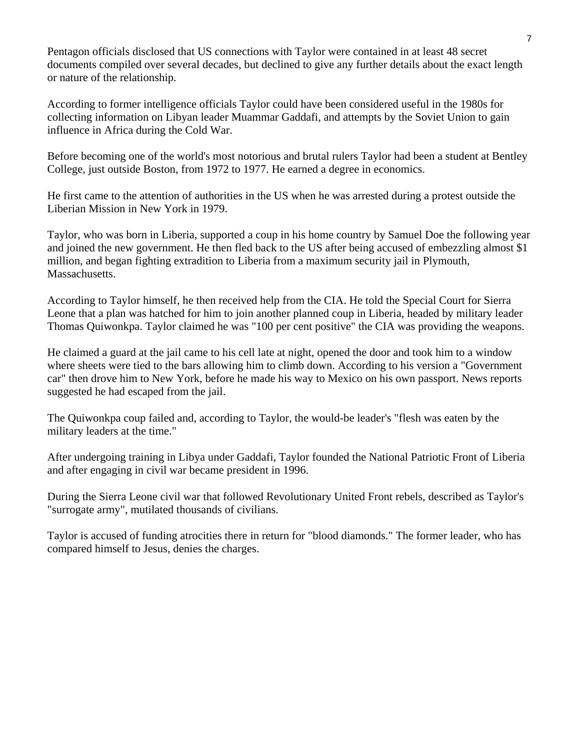Pentagon officials disclosed that US connections with Taylor were contained in at least 48 secret documents compiled over several decades, but declined to give any further details about the exact length or nature of the relationship.

According to former intelligence officials Taylor could have been considered useful in the 1980s for collecting information on Libyan leader Muammar Gaddafi, and attempts by the Soviet Union to gain influence in Africa during the Cold War.

Before becoming one of the world's most notorious and brutal rulers Taylor had been a student at Bentley College, just outside Boston, from 1972 to 1977. He earned a degree in economics.

He first came to the attention of authorities in the US when he was arrested during a protest outside the Liberian Mission in New York in 1979.

Taylor, who was born in Liberia, supported a coup in his home country by Samuel Doe the following year and joined the new government. He then fled back to the US after being accused of embezzling almost \$1 million, and began fighting extradition to Liberia from a maximum security jail in Plymouth, Massachusetts.

According to Taylor himself, he then received help from the CIA. He told the Special Court for Sierra Leone that a plan was hatched for him to join another planned coup in Liberia, headed by military leader Thomas Quiwonkpa. Taylor claimed he was "100 per cent positive" the CIA was providing the weapons.

He claimed a guard at the jail came to his cell late at night, opened the door and took him to a window where sheets were tied to the bars allowing him to climb down. According to his version a "Government car" then drove him to New York, before he made his way to Mexico on his own passport. News reports suggested he had escaped from the jail.

The Quiwonkpa coup failed and, according to Taylor, the would-be leader's "flesh was eaten by the military leaders at the time."

After undergoing training in Libya under Gaddafi, Taylor founded the National Patriotic Front of Liberia and after engaging in civil war became president in 1996.

During the Sierra Leone civil war that followed Revolutionary United Front rebels, described as Taylor's "surrogate army", mutilated thousands of civilians.

Taylor is accused of funding atrocities there in return for "blood diamonds." The former leader, who has compared himself to Jesus, denies the charges.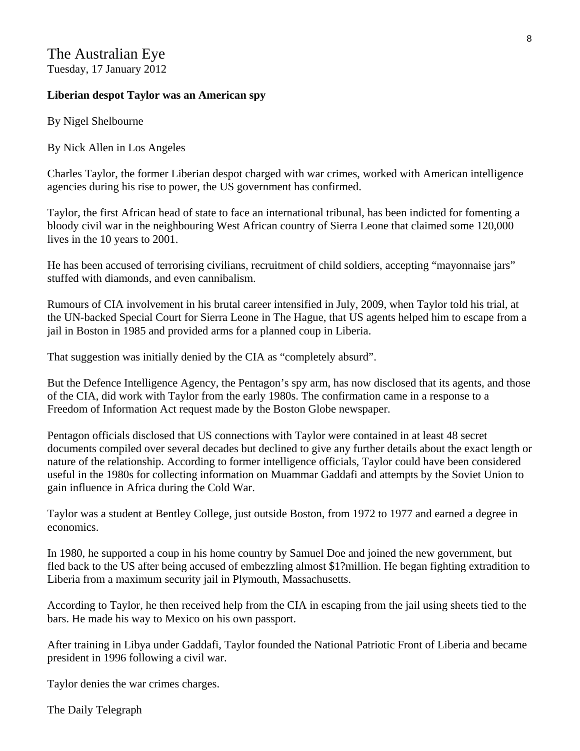#### The Australian Eye Tuesday, 17 January 2012

#### **Liberian despot Taylor was an American spy**

By Nigel Shelbourne

By Nick Allen in Los Angeles

Charles Taylor, the former Liberian despot charged with war crimes, worked with American intelligence agencies during his rise to power, the US government has confirmed.

Taylor, the first African head of state to face an international tribunal, has been indicted for fomenting a bloody civil war in the neighbouring West African country of Sierra Leone that claimed some 120,000 lives in the 10 years to 2001.

He has been accused of terrorising civilians, recruitment of child soldiers, accepting "mayonnaise jars" stuffed with diamonds, and even cannibalism.

Rumours of CIA involvement in his brutal career intensified in July, 2009, when Taylor told his trial, at the UN-backed Special Court for Sierra Leone in The Hague, that US agents helped him to escape from a jail in Boston in 1985 and provided arms for a planned coup in Liberia.

That suggestion was initially denied by the CIA as "completely absurd".

But the Defence Intelligence Agency, the Pentagon's spy arm, has now disclosed that its agents, and those of the CIA, did work with Taylor from the early 1980s. The confirmation came in a response to a Freedom of Information Act request made by the Boston Globe newspaper.

Pentagon officials disclosed that US connections with Taylor were contained in at least 48 secret documents compiled over several decades but declined to give any further details about the exact length or nature of the relationship. According to former intelligence officials, Taylor could have been considered useful in the 1980s for collecting information on Muammar Gaddafi and attempts by the Soviet Union to gain influence in Africa during the Cold War.

Taylor was a student at Bentley College, just outside Boston, from 1972 to 1977 and earned a degree in economics.

In 1980, he supported a coup in his home country by Samuel Doe and joined the new government, but fled back to the US after being accused of embezzling almost \$1?million. He began fighting extradition to Liberia from a maximum security jail in Plymouth, Massachusetts.

According to Taylor, he then received help from the CIA in escaping from the jail using sheets tied to the bars. He made his way to Mexico on his own passport.

After training in Libya under Gaddafi, Taylor founded the National Patriotic Front of Liberia and became president in 1996 following a civil war.

Taylor denies the war crimes charges.

The Daily Telegraph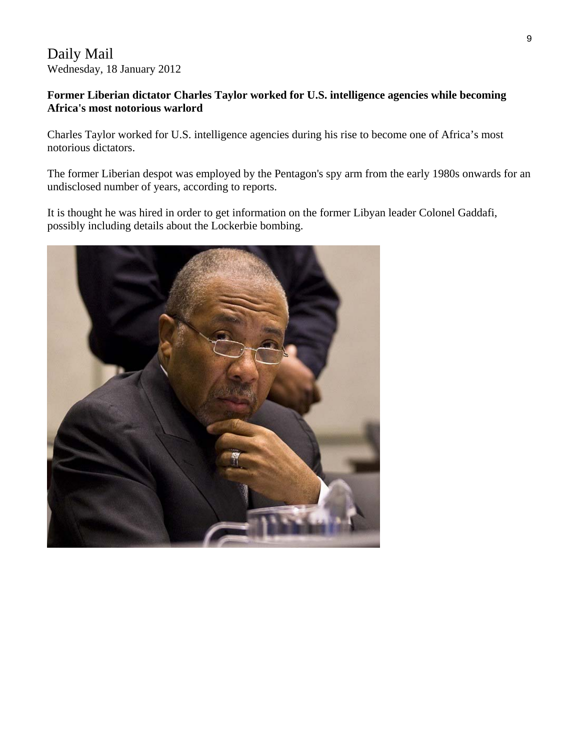#### Daily Mail Wednesday, 18 January 2012

#### **Former Liberian dictator Charles Taylor worked for U.S. intelligence agencies while becoming Africa's most notorious warlord**

Charles Taylor worked for U.S. intelligence agencies during his rise to become one of Africa's most notorious dictators.

The former Liberian despot was employed by the Pentagon's spy arm from the early 1980s onwards for an undisclosed number of years, according to reports.

It is thought he was hired in order to get information on the former Libyan leader Colonel Gaddafi, possibly including details about the Lockerbie bombing.

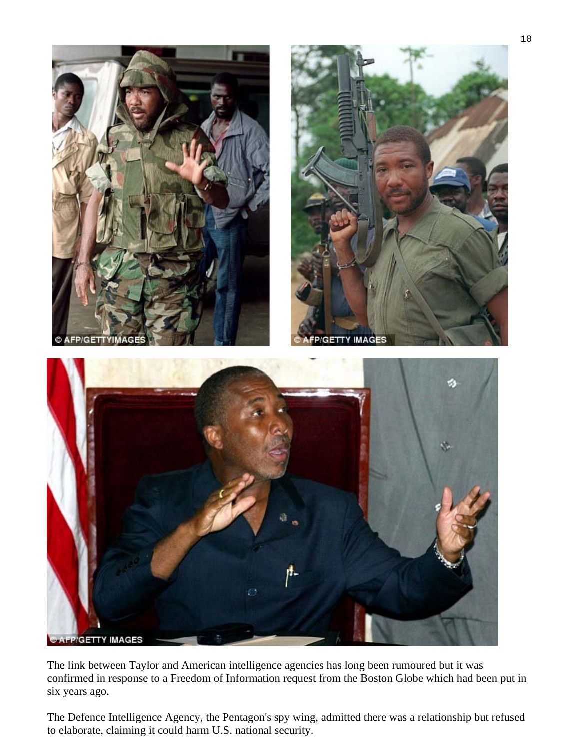

The link between Taylor and American intelligence agencies has long been rumoured but it was confirmed in response to a Freedom of Information request from the Boston Globe which had been put in six years ago.

The Defence Intelligence Agency, the Pentagon's spy wing, admitted there was a relationship but refused to elaborate, claiming it could harm U.S. national security.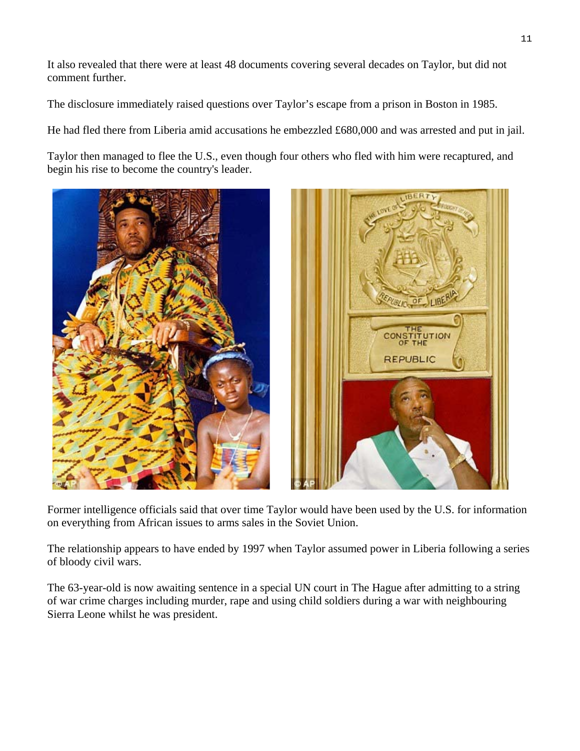It also revealed that there were at least 48 documents covering several decades on Taylor, but did not comment further.

The disclosure immediately raised questions over Taylor's escape from a prison in Boston in 1985.

He had fled there from Liberia amid accusations he embezzled £680,000 and was arrested and put in jail.

Taylor then managed to flee the U.S., even though four others who fled with him were recaptured, and begin his rise to become the country's leader.



Former intelligence officials said that over time Taylor would have been used by the U.S. for information on everything from African issues to arms sales in the Soviet Union.

The relationship appears to have ended by 1997 when Taylor assumed power in Liberia following a series of bloody civil wars.

The 63-year-old is now awaiting sentence in a special UN court in The Hague after admitting to a string of war crime charges including murder, rape and using child soldiers during a war with neighbouring Sierra Leone whilst he was president.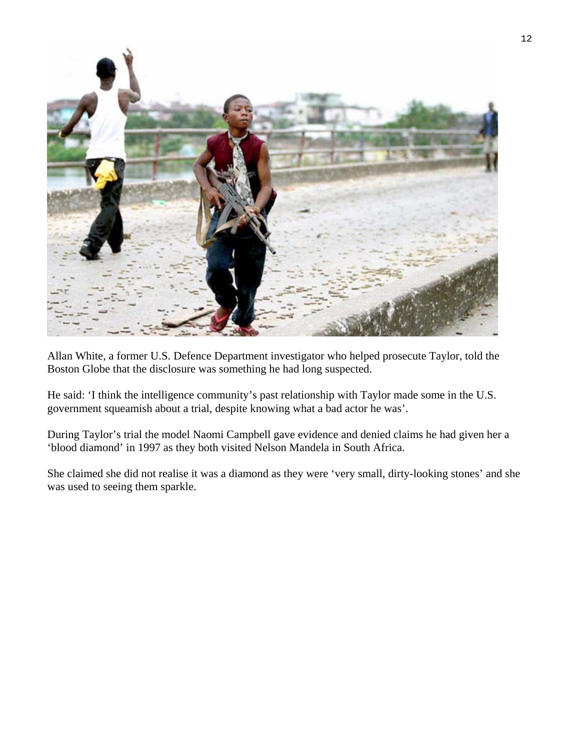

Allan White, a former U.S. Defence Department investigator who helped prosecute Taylor, told the Boston Globe that the disclosure was something he had long suspected.

He said: 'I think the intelligence community's past relationship with Taylor made some in the U.S. government squeamish about a trial, despite knowing what a bad actor he was'.

During Taylor's trial the model Naomi Campbell gave evidence and denied claims he had given her a 'blood diamond' in 1997 as they both visited Nelson Mandela in South Africa.

She claimed she did not realise it was a diamond as they were 'very small, dirty-looking stones' and she was used to seeing them sparkle.